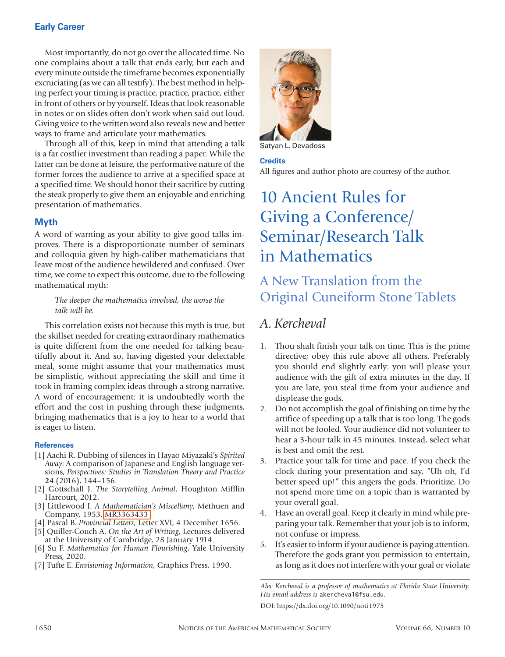Most importantly, do not go over the allocated time. No one complains about a talk that ends early, but each and every minute outside the timeframe becomes exponentially excruciating (as we can all testify). The best method in helping perfect your timing is practice, practice, practice, either in front of others or by yourself. Ideas that look reasonable in notes or on slides often don't work when said out loud. Giving voice to the written word also reveals new and better ways to frame and articulate your mathematics.

Through all of this, keep in mind that attending a talk is a far costlier investment than reading a paper. While the latter can be done at leisure, the performative nature of the former forces the audience to arrive at a specified space at a specified time. We should honor their sacrifice by cutting the steak properly to give them an enjoyable and enriching presentation of mathematics.

## **Myth**

A word of warning as your ability to give good talks improves. There is a disproportionate number of seminars and colloquia given by high-caliber mathematicians that leave most of the audience bewildered and confused. Over time, we come to expect this outcome, due to the following mathematical myth:

### *The deeper the mathematics involved, the worse the talk will be.*

This correlation exists not because this myth is true, but the skillset needed for creating extraordinary mathematics is quite different from the one needed for talking beautifully about it. And so, having digested your delectable meal, some might assume that your mathematics must be simplistic, without appreciating the skill and time it took in framing complex ideas through a strong narrative. A word of encouragement: it is undoubtedly worth the effort and the cost in pushing through these judgments, bringing mathematics that is a joy to hear to a world that is eager to listen.

#### **References**

- [1] Aachi R. Dubbing of silences in Hayao Miyazaki's *Spirited Away*: A comparison of Japanese and English language versions, *Perspectives: Studies in Translation Theory and Practice* **24** (2016), 144–156.
- [2] Gottschall J. *The Storytelling Animal*, Houghton Mifflin Harcourt, 2012.
- [3] Littlewood J. *A Mathematician's Miscellany*, Methuen and Company, 1953. [MR3363433](http://www.ams.org/mathscinet-getitem?mr=3363433)
- [4] Pascal B. *Provincial Letters*, Letter XVI, 4 December 1656.
- [5] Quiller-Couch A. *On the Art of Writing*, Lectures delivered at the University of Cambridge, 28 January 1914.
- [6] Su F. *Mathematics for Human Flourishing*, Yale University Press, 2020.
- [7] Tufte E. *Envisioning Information*, Graphics Press, 1990.



Satyan L. Devadoss

#### **Credits**

All figures and author photo are courtesy of the author.

# 10 Ancient Rules for Giving a Conference/ Seminar/Research Talk in Mathematics

# A New Translation from the Original Cuneiform Stone Tablets

# *A. Kercheval*

- 1. Thou shalt finish your talk on time. This is the prime directive; obey this rule above all others. Preferably you should end slightly early: you will please your audience with the gift of extra minutes in the day. If you are late, you steal time from your audience and displease the gods.
- 2. Do not accomplish the goal of finishing on time by the artifice of speeding up a talk that is too long. The gods will not be fooled. Your audience did not volunteer to hear a 3-hour talk in 45 minutes. Instead, select what is best and omit the rest.
- 3. Practice your talk for time and pace. If you check the clock during your presentation and say, "Uh oh, I'd better speed up!" this angers the gods. Prioritize. Do not spend more time on a topic than is warranted by your overall goal.
- 4. Have an overall goal. Keep it clearly in mind while preparing your talk. Remember that your job is to inform, not confuse or impress.
- 5. It's easier to inform if your audience is paying attention. Therefore the gods grant you permission to entertain, as long as it does not interfere with your goal or violate

*Alec Kercheval is a professor of mathematics at Florida State University. His email address is* akercheval@fsu.edu*.* DOI: https://dx.doi.org/10.1090/noti1975